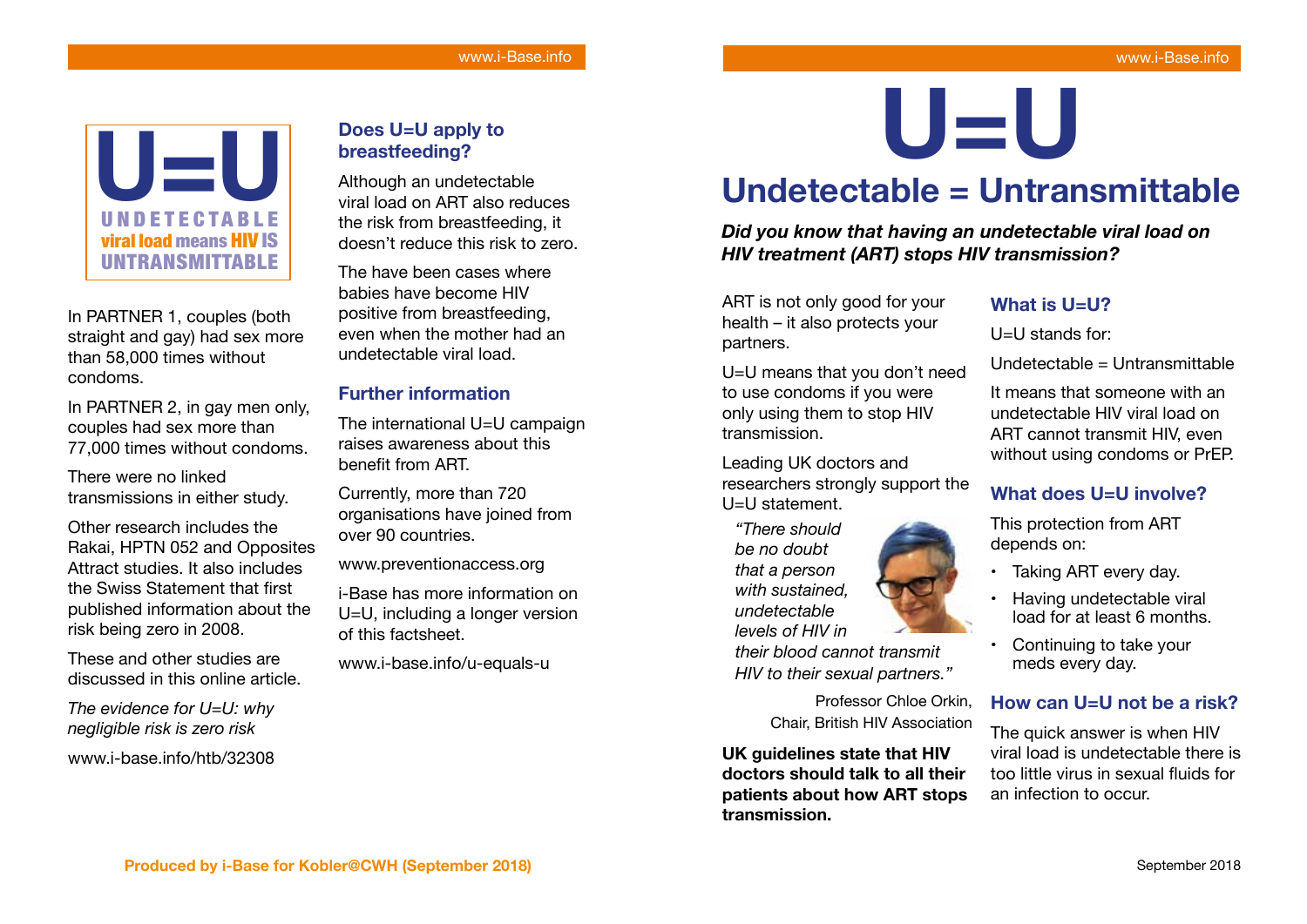

In PARTNER 1, couples (both straight and gay) had sex more than 58,000 times without condoms.

In PARTNER 2, in gay men only, couples had sex more than 77,000 times without condoms.

There were no linked transmissions in either study.

Other research includes the Rakai, HPTN 052 and Opposites Attract studies. It also includes the Swiss Statement that first published information about the risk being zero in 2008.

These and other studies are discussed in this online article.

*The evidence for U=U: why negligible risk is zero risk*

www.i-base.info/htb/32308

# **Does U=U apply to breastfeeding?**

Although an undetectable viral load on ART also reduces the risk from breastfeeding, it doesn't reduce this risk to zero.

The have been cases where babies have become HIV positive from breastfeeding, even when the mother had an undetectable viral load.

## **Further information**

The international U=U campaign raises awareness about this benefit from ART.

Currently, more than 720 organisations have joined from over 90 countries.

www.preventionaccess.org

i-Base has more information on U=U, including a longer version of this factsheet.

www.i-base.info/u-equals-u

**U=U**

# **Undetectable = Untransmittable**

*Did you know that having an undetectable viral load on HIV treatment (ART) stops HIV transmission?*

ART is not only good for your health – it also protects your partners.

U=U means that you don't need to use condoms if you were only using them to stop HIV transmission.

Leading UK doctors and researchers strongly support the U=U statement.

*"There should be no doubt that a person with sustained, undetectable levels of HIV in their blood cannot transmit HIV to their sexual partners."*

> Professor Chloe Orkin, Chair, British HIV Association

**UK guidelines state that HIV doctors should talk to all their patients about how ART stops transmission.**

## **What is U=U?**

U=U stands for:

Undetectable = Untransmittable

It means that someone with an undetectable HIV viral load on ART cannot transmit HIV, even without using condoms or PrEP.

# **What does U=U involve?**

This protection from ART depends on:

- Taking ART every day.
- Having undetectable viral load for at least 6 months.
- Continuing to take your meds every day.

## **How can U=U not be a risk?**

The quick answer is when HIV viral load is undetectable there is too little virus in sexual fuids for an infection to occur.